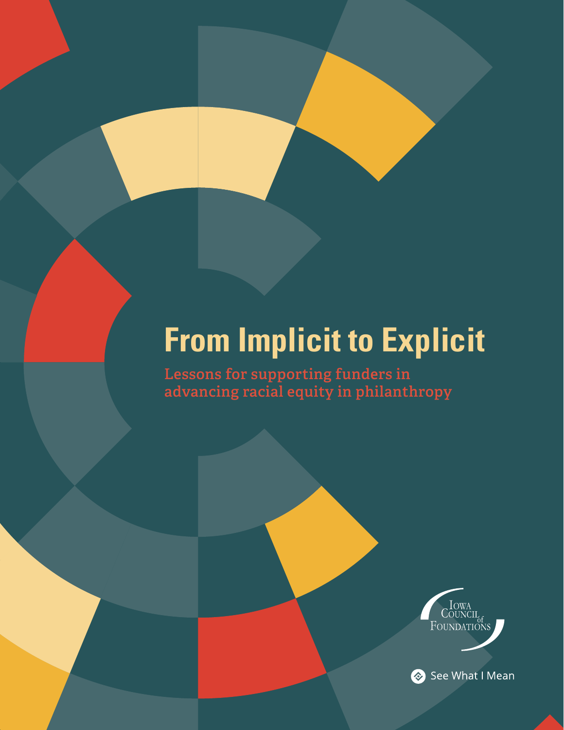# **From Implicit to Explicit**

**Lessons for supporting funders in advancing racial equity in philanthropy**



See What I Mean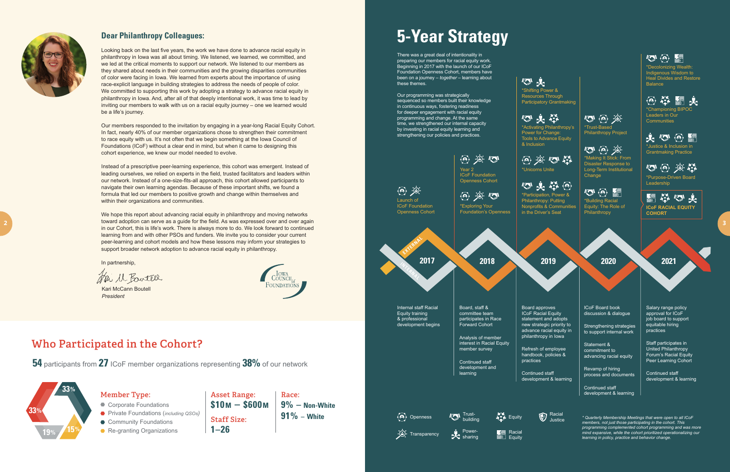#### **Dear Philanthropy Colleagues:**

Looking back on the last five years, the work we have done to advance racial equity in philanthropy in Iowa was all about timing. We listened, we learned, we committed, and we led at the critical moments to support our network. We listened to our members as they shared about needs in their communities and the growing disparities communities of color were facing in Iowa. We learned from experts about the importance of using race-explicit language in building strategies to address the needs of people of color. We committed to supporting this work by adopting a strategy to advance racial equity in philanthropy in Iowa. And, after all of that deeply intentional work, it was time to lead by inviting our members to walk with us on a racial equity journey – one we learned would be a life's journey.

Our members responded to the invitation by engaging in a year-long Racial Equity Cohort. In fact, nearly 40% of our member organizations chose to strengthen their commitment to race equity with us. It's not often that we begin something at the Iowa Council of Foundations (ICoF) without a clear end in mind, but when it came to designing this cohort experience, we knew our model needed to evolve.

Instead of a prescriptive peer-learning experience, this cohort was emergent. Instead of leading ourselves, we relied on experts in the field, trusted facilitators and leaders within our network. Instead of a one-size-fits-all approach, this cohort allowed participants to navigate their own learning agendas. Because of these important shifts, we found a formula that led our members to positive growth and change within themselves and within their organizations and communities.

### 心火 \*Shifting Power &

We hope this report about advancing racial equity in philanthropy and moving networks toward adoption can serve as a guide for the field. As was expressed over and over again in our Cohort, this is life's work. There is always more to do. We look forward to continued learning from and with other PSOs and funders. We invite you to consider your current peer-learning and cohort models and how these lessons may inform your strategies to support broader network adoption to advance racial equity in philanthropy.

\*Decolonizing Wealth: Indigenous Wisdom to Heal Divides and Restore **Balance** 

### 网举断止

\*Championing BIPOC Leaders in Our **Communities** 

史心网际

图举回来 **ICoF RACIAL EQUITY COHORT**

In partnership,

Hai M. Bowtell

Kari McCann Boutell *President*



### **Who Participated in the Cohort?**

**Race: 9% – Non-White 91% – White Asset Range: \$10M – \$600M Staff Size: 1–26**

**54** participants from **27** ICoF member organizations representing **38%** of our network



**Member Type:** 

- Corporate Foundations
- Private Foundations (*including QSOs)*
- Community Foundations
- Re-granting Organizations



**2**

# **5-Year Strategy**

There was a great deal of intentionality in preparing our members for racial equity work. Beginning in 2017 with the launch of our ICoF Foundation Openness Cohort, members have been on a journey *– together –* learning about these themes.

Our programming was strategically sequenced so members built their knowledge in continuous ways, fostering readiness for deeper engagement with racial equity programming and change. At the same time, we strengthened our internal capacity by investing in racial equity learning and strengthening our policies and practices.

> *\* Quarterly Membership Meetings that were open to all ICoF members, not just those participating in the cohort. This programming complemented cohort programming and was more mind expansive, while the cohort prioritized operationalizing our learning in policy, practice and behavior change.*

sharing

Equity

Racial Justice



Resources Through Participatory Grantmaking

### 心头类

\*Activating Philanthropy's Power for Change: Tools to Advance Equity & Inclusion

## @ 实心器

### 四头举回

Nonprofits & Communities



 $\mathbb{Z}$   $\oplus$   $\oplus$ \*Making It Stick: From Disaster Response to Long-Term Institutional Change



\*Building Racial Equity: The Role of Philanthropy

\*Justice & Inclusion in Grantmaking Practice

 $\langle \widehat{\mathbf{e}} \rangle$  (c)  $-9.47$ 

\*Purpose-Driven Board Leadership

statement and adopts new strategic priority to advance racial equity in

development & learning

ICoF Board book discussion & dialogue

Strengthening strategies to support internal work

Statement & commitment to advancing racial equity

Revamp of hiring process and documents

Continued staff development & learning  $\mathbb{Z}$   $\omega$   $\mathbb{R}$ 

Salary range policy approval for ICoF job board to support equitable hiring practices

Staff participates in United Philanthropy Forum's Racial Equity Peer Learning Cohort

Continued staff development & learning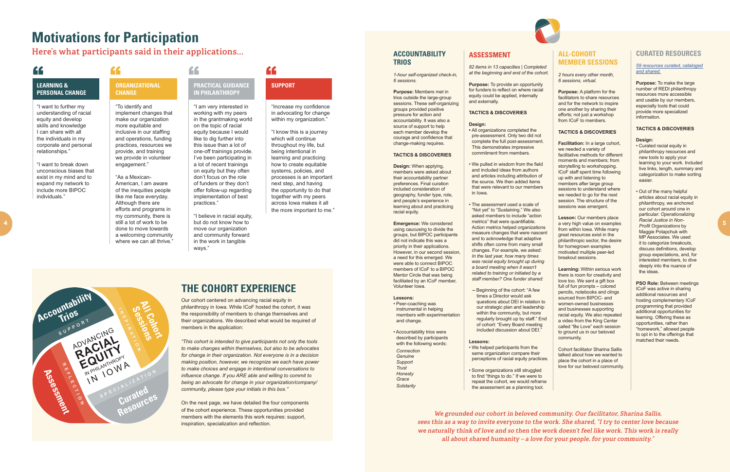## **Motivations for Participation**

**Here's what participants said in their applications...**





### **THE COHORT EXPERIENCE**

Our cohort centered on advancing racial equity in philanthropy in Iowa. While ICoF hosted the cohort, it was the responsibility of members to change themselves and their organizations. We described what would be required of members in the application:

*"This cohort is intended to give participants not only the tools to make changes within themselves, but also to be advocates for change in their organization. Not everyone is in a decision making position, however, we recognize we each have power to make choices and engage in intentional conversations to influence change. If you ARE able and willing to commit to being an advocate for change in your organization/company/ community, please type your initials in this box."*

"As a Mexican-American, I am aware of the inequities people like me face everyday. Although there are efforts and programs in my community, there is still a lot of work to be done to move towards a welcoming community where we can all thrive."

### **PRACTICAL GUIDANCE IN PHILANTHROPY** TEARNING & THE ORGANIZATIONAL PRACTICAL GIUDANCE

On the next page, we have detailed the four components of the cohort experience. These opportunities provided members with the elements this work requires: support, inspiration, specialization and reflection.

#### **LEARNING & PERSONAL CHANGE**

"Increase my confidence in advocating for change within my organization."

"I want to further my understanding of racial equity and develop skills and knowledge I can share with all the individuals in my corporate and personal relationships."

"I want to break down unconscious biases that exist in my mind and to expand my network to include more BIPOC individuals."

#### **ORGANIZATIONAL CHANGE**

"To identify and implement changes that make our organization more equitable and inclusive in our staffing and operations, funding practices, resources we provide, and training we provide in volunteer engagement."

# one-off trainings provide.

"I am very interested in working with my peers in the grantmaking world on the topic of racial equity because I would like to dig further into this issue than a lot of I've been participating in a lot of recent trainings on equity but they often don't focus on the role of funders or they don't offer follow-up regarding implementation of best

**Facilitation:** In a large cohort, we needed a variety of facilitative methods for different moments and members; from storytelling to workshopping. ICoF staff spent time following up with and listening to members after large group sessions to understand where we needed to go for the next session. The structure of the sessions was emergent.

practices."

"I believe in racial equity, but do not know how to move our organization and community forward in the work in tangible ways."

**SUPPORT**

"I know this is a journey which will continue throughout my life, but being intentional in learning and practicing how to create equitable systems, policies, and processes is an important next step, and having the opportunity to do that together with my peers across Iowa makes it all the more important to me."

#### **ACCOUNTABILITY TRIOS**

*1-hour self-organized check-in, 6 sessions.*

**Purpose:** Members met in trios outside the large-group sessions. These self-organizing groups provided positive pressure for action and accountability. It was also a source of support to help each member develop the courage and confidence that change-making requires.

#### **TACTICS & DISCOVERIES**

**Purpose:** To provide an opportunity for funders to reflect on where racial equity could be applied, internally and externally.

**Design:** When applying, members were asked about their accountability partner preferences. Final curation included consideration of geography, funder type, role, and people's experience in learning about and practicing racial equity.

**Emergence:** We considered using caucusing to divide the groups, but BIPOC participants did not indicate this was a priority in their applications. However, in our second session, a need for this emerged. We were able to connect BIPOC members of ICoF to a BIPOC Mentor Circle that was being facilitated by an ICoF member, Volunteer Iowa.

#### **Lessons:**

• Peer-coaching was instrumental in helping members with experimentation and change.

• Accountability trios were described by participants with the following words: *Connection Genuine Support Trust Honesty*

*Grace Solidarity*

#### **ALL-COHORT MEMBER SESSIONS**

*2 hours every other month, 6 sessions, virtual.*

**Purpose:** A platform for the facilitators to share resources and for the network to inspire one another by sharing their efforts; not just a workshop from ICoF to members.

#### **TACTICS & DISCOVERIES**

**Lesson:** Our members place a very high value on examples from within Iowa. While many great resources exist in the philanthropic sector, the desire for homegrown examples motivated multiple peer-led breakout sessions.

**Learning:** Within serious work there is room for creativity and love too. We sent a gift box full of fun prompts – colored pencils, notebooks and clings sourced from BIPOC- and women-owned businesses and businesses supporting racial equity. We also repeated a video from the King Center called "Be Love" each session to ground us in our beloved community.

Cohort facilitator Sharina Sallis talked about how we wanted to place the cohort in a place of love for our beloved community.

#### **CURATED RESOURCES**

#### *[59 resources curated, cataloged](https://docs.google.com/spreadsheets/d/1m5GU1Jmn6cDerqL8Ac3AfMx3peGfcHD799pQ0bV_jkM/edit#gid=0)  and shared.*

**Purpose:** To make the large number of REDI philanthropy resources more accessible and usable by our members, especially tools that could provide more specialized information.

#### **TACTICS & DISCOVERIES**

#### **Design:**

- Curated racial equity in philanthropy resources and new tools to apply your learning to your work. Included live links, length, summary and categorization to make sorting easier.
- Out of the many helpful articles about racial equity in philanthropy, we anchored our cohort around one in particular: *Operationalizing Racial Justice in Non-Profit Organizations* by Maggie Potapchuk with MP Associates. We used it to categorize breakouts, discuss definitions, develop group expectations, and, for interested members, to dive deeply into the nuance of the ideas.

**PSO Role:** Between meetings ICoF was active in sharing additional resources and hosting complementary ICoF programming that provided additional opportunities for learning. Offering these as opportunities, rather than "homework," allowed people to opt in to the offerings that matched their needs.

#### **ASSESSMENT**

*82 items in 13 capacities | Completed at the beginning and end of the cohort.*

#### **TACTICS & DISCOVERIES**

#### **Design:**

- All organizations completed the pre-assessment. Only two did not complete the full post-assessment. This demonstrates impressive commitment from members.
- We pulled in wisdom from the field and included ideas from authors and articles including attribution of the source. We then added items that were relevant to our members in Iowa.
- The assessment used a scale of "Not yet" to "Sustaining." We also asked members to include "action metrics'' that were quantifiable. Action metrics helped organizations measure changes that were nascent and to acknowledge that adaptive shifts often come from many small changes. For example, we asked: *In the last year, how many times was racial equity brought up during a board meeting when it wasn't related to training or initiated by a staff member? One funder shared:*
- Beginning of the cohort: "A few times a Director would ask questions about DEI in relation to our strategic plan and leadership within the community, but more regularly brought up by staff." End of cohort: "Every Board meeting included discussion about DEI."

#### **Lessons:**

- We helped participants from the same organization compare their perceptions of racial equity practices.
- Some organizations still struggled to find "things to do." If we were to repeat the cohort, we would reframe the assessment as a planning tool.

**We grounded our cohort in beloved community. Our facilitator, Sharina Sallis, sees this as a way to invite everyone to the work. She shared, "I try to center love because we naturally think of love and so then the work doesn't feel like work. This work is really all about shared humanity – a love for your people, for your community."**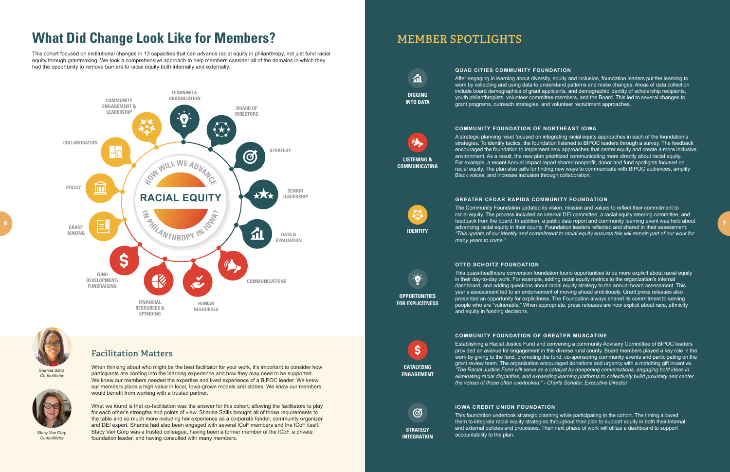# **What Did Change Look Like for Members?**

This cohort focused on institutional changes in 13 capacities that can advance racial equity in philanthropy, not just fund racial equity through grantmaking. We took a comprehensive approach to help members consider all of the domains in which they had the opportunity to remove barriers to racial equity both internally and externally.



### **Facilitation Matters**

When thinking about who might be the best facilitator for your work, it's important to consider how participants are coming into the learning experience and how they may need to be supported. We knew our members needed the expertise and lived experience of a BIPOC leader. We knew our members place a high value in local, Iowa-grown models and stories. We knew our members would benefit from working with a trusted partner.



What we found is that co-facilitation was the answer for this cohort; allowing the facilitators to play for each other's strengths and points of view. Sharina Sallis brought all of those requirements to the table and so much more including her experience as a corporate funder, community organizer and DEI expert. Sharina had also been engaged with several ICoF members and the ICoF itself. Stacy Van Gorp was a trusted colleague, having been a former member of the ICoF, a private foundation leader, and having consulted with many members.



*Co-facilitator*

Stacy Van Gorp *Co-facilitator*

### **MEMBER SPOTLIGHTS**

**QUAD CITIES COMMUNITY FOUNDATION** After engaging in learning about diversity, equity and inclusion, foundation leaders put the learning to work by collecting and using data to understand patterns and make changes. Areas of data collection include board demographics of grant applicants, and demographic identity of scholarship recipients, youth philanthropists, volunteer committee members, and the Board. This led to several changes to grant programs, outreach strategies, and volunteer recruitment approaches.

#### **COMMUNITY FOUNDATION OF NORTHEAST IOWA**

A strategic planning reset focused on integrating racial equity approaches in each of the foundation's strategies. To identify tactics, the foundation listened to BIPOC leaders through a survey. The feedback encouraged the foundation to implement new approaches that center equity and create a more inclusive environment. As a result, the new plan prioritized communicating more directly about racial equity. For example, a recent Annual Impact report shared nonprofit, donor and fund spotlights focused on racial equity. The plan also calls for finding new ways to communicate with BIPOC audiences, amplify Black voices, and increase inclusion through collaboration.

걻. **DIGGING INTO DATA** 

#### **GREATER CEDAR RAPIDS COMMUNITY FOUNDATION**

The Community Foundation updated its vision, mission and values to reflect their commitment to racial equity. The process included an internal DEI committee, a racial equity steering committee, and feedback from the board. In addition, a public data report and community learning event was held about advancing racial equity in their county. Foundation leaders reflected and shared in their assessment: *"This update of our identity and commitment to racial equity ensures this will remain part of our work for many years to come."*

#### **OTTO SCHOITZ FOUNDATION**

This quasi-healthcare conversion foundation found opportunities to be more explicit about racial equity in their day-to-day work. For example, adding racial equity metrics to the organization's internal dashboard, and adding questions about racial equity strategy to the annual board assessment. This year's assessment led to an endorsement of moving ahead ambitiously. Grant press releases also presented an opportunity for explicitness. The Foundation always shared its commitment to serving people who are "vulnerable." When appropriate, press releases are now explicit about race, ethnicity and equity in funding decisions.

#### **COMMUNITY FOUNDATION OF GREATER MUSCATINE**

Establishing a Racial Justice Fund and convening a community Advisory Committee of BIPOC leaders provided an avenue for engagement in this diverse rural county. Board members played a key role in the work by giving to the fund, promoting the fund, co-sponsoring community events and participating on the grant review team. The organization encouraged donations and urgency with a matching gift incentive. *"The Racial Justice Fund will serve as a catalyst by deepening conversations, engaging bold ideas in eliminating racial disparities, and expanding learning platforms to collectively build proximity and center the voices of those often overlooked." - Charla Schafer, Executive Director*

#### **IOWA CREDIT UNION FOUNDATION**

This foundation undertook strategic planning while participating in the cohort. The timing allowed them to integrate racial equity strategies throughout their plan to support equity in both their internal and external policies and processes. Their next phase of work will utilize a dashboard to support

accountability to the plan.

**LISTENING &** 

**COMMUNICATING**

**IDENTITY**

**CATALYZING ENGAGEMENT**

**S** 

**STRATEGY INTEGRATION**

 $\circled{\sigma}$ 

**OPPORTUNITIES FOR EXPLICITNESS**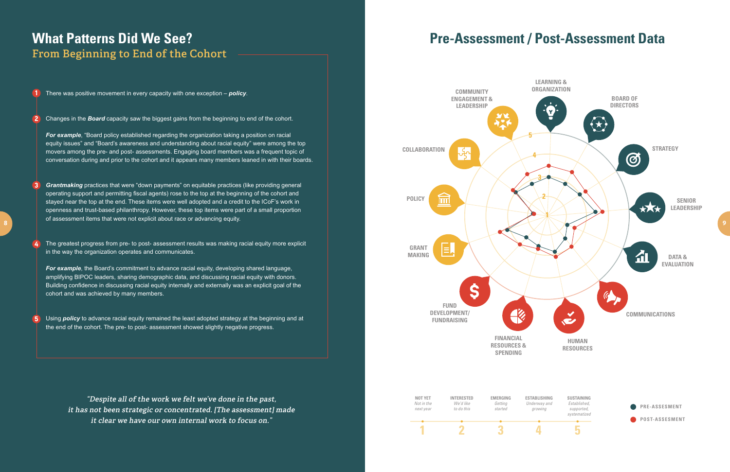## **What Patterns Did We See? From Beginning to End of the Cohort**

There was positive movement in every capacity with one exception – *policy*.  $\left( 1\right)$ 

**For example**, "Board policy established regarding the organization taking a position on racial equity issues" and "Board's awareness and understanding about racial equity" were among the top movers among the pre- and post- assessments. Engaging board members was a frequent topic of conversation during and prior to the cohort and it appears many members leaned in with their boards.

**For example**, the Board's commitment to advance racial equity, developing shared language, amplifying BIPOC leaders, sharing demographic data, and discussing racial equity with donors. Building confidence in discussing racial equity internally and externally was an explicit goal of the cohort and was achieved by many members.

Changes in the *Board* capacity saw the biggest gains from the beginning to end of the cohort. 2

*Grantmaking* practices that were "down payments" on equitable practices (like providing general operating support and permitting fiscal agents) rose to the top at the beginning of the cohort and stayed near the top at the end. These items were well adopted and a credit to the ICoF's work in openness and trust-based philanthropy. However, these top items were part of a small proportion of assessment items that were not explicit about race or advancing equity. 3

The greatest progress from pre- to post- assessment results was making racial equity more explicit in the way the organization operates and communicates. 4

Using *policy* to advance racial equity remained the least adopted strategy at the beginning and at the end of the cohort. The pre- to post- assessment showed slightly negative progress. 5

> **"Despite all of the work we felt we've done in the past, it has not been strategic or concentrated. [The assessment] made it clear we have our own internal work to focus on."**



# **Pre-Assessment / Post-Assessment Data**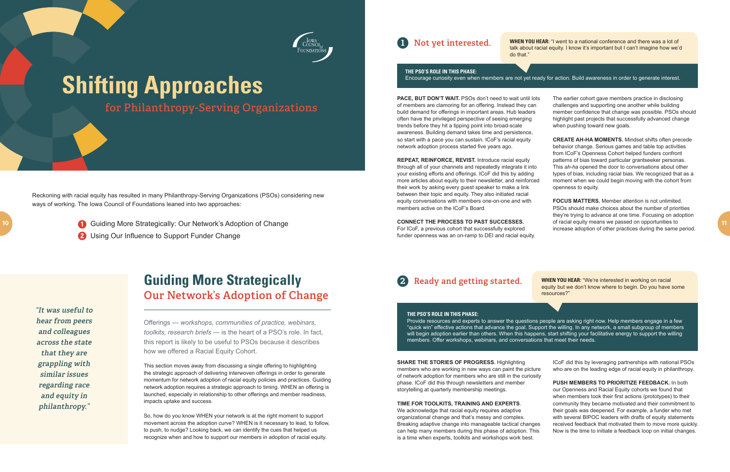

# **Shifting Approaches**

**for Philanthropy-Serving Organizations**

## **Guiding More Strategically Our Network's Adoption of Change**

Offerings — *workshops, communities of practice, webinars, toolkits, research briefs* — is the heart of a PSO's role. In fact, this report is likely to be useful to PSOs because it describes how we offered a Racial Equity Cohort.

This section moves away from discussing a single offering to highlighting the strategic approach of delivering interwoven offerings in order to generate momentum for network adoption of racial equity policies and practices. Guiding network adoption requires a strategic approach to timing. WHEN an offering is launched, especially in relationship to other offerings and member readiness, impacts uptake and success.

So, how do you know WHEN your network is at the right moment to support movement across the adoption curve? WHEN is it necessary to lead, to follow, to push, to nudge? Looking back, we can identify the cues that helped us recognize when and how to support our members in adoption of racial equity.

PACE, BUT DON'T WAIT. PSOs don't need to wait until lots of members are clamoring for an offering. Instead they can build demand for offerings in important areas. Hub leaders often have the privileged perspective of seeing emerging trends before they hit a tipping point into broad-scale awareness. Building demand takes time and persistence, so start with a pace you can sustain. ICoF's racial equity network adoption process started five years ago.

Reckoning with racial equity has resulted in many Philanthropy-Serving Organizations (PSOs) considering new ways of working. The Iowa Council of Foundations leaned into two approaches:

1 Guiding More Strategically: Our Network's Adoption of Change

2 Using Our Influence to Support Funder Change

The earlier cohort gave members practice in disclosing challenges and supporting one another while building member confidence that change was possible. PSOs should highlight past projects that successfully advanced change when pushing toward new goals.

**"It was useful to hear from peers and colleagues across the state that they are grappling with similar issues regarding race and equity in philanthropy."**

**WHEN YOU HEAR:** "I went to a national conference and there was a lot of talk about racial equity. I know it's important but I can't imagine how we'd

do that."

**REPEAT, REINFORCE, REVIST.** Introduce racial equity through all of your channels and repeatedly integrate it into your existing efforts and offerings. ICoF did this by adding more articles about equity to their newsletter, and reinforced their work by asking every guest speaker to make a link between their topic and equity. They also initiated racial equity conversations with members one-on-one and with members active on the ICoF's Board.

**CONNECT THE PROCESS TO PAST SUCCESSES.** For ICoF, a previous cohort that successfully explored funder openness was an on-ramp to DEI and racial equity.

**22 Ready and getting started. WHEN YOU HEAR: "We're interested in working on racial** equity but we don't know where to begin. Do you have some resources?"

**CREATE AH-HA MOMENTS.** Mindset shifts often precede behavior change. Serious games and table top activities from ICoF's Openness Cohort helped funders confront patterns of bias toward particular grantseeker personas. This *ah-ha* opened the door to conversations about other types of bias, including racial bias. We recognized that as a moment when we could begin moving with the cohort from openness to equity.

**FOCUS MATTERS.** Member attention is not unlimited. PSOs should make choices about the number of priorities they're trying to advance at one time. Focusing on adoption of racial equity means we passed on opportunities to increase adoption of other practices during the same period.

### **THE PSO'S ROLE IN THIS PHASE:**

#### Encourage curiosity even when members are not yet ready for action. Build awareness in order to generate interest.

## **1 Not yet interested.**

#### **SHARE THE STORIES OF PROGRESS.** Highlighting

members who are working in new ways can paint the picture of network adoption for members who are still in the curiosity phase. ICoF did this through newsletters and member storytelling at quarterly membership meetings.

#### **TIME FOR TOOLKITS, TRAINING AND EXPERTS**.

We acknowledge that racial equity requires adaptive organizational change and that's messy and complex. Breaking adaptive change into manageable tactical changes can help many members during this phase of adoption. This is a time when experts, toolkits and workshops work best.

ICoF did this by leveraging partnerships with national PSOs who are on the leading edge of racial equity in philanthropy.

**PUSH MEMBERS TO PRIORITIZE FEEDBACK.** In both our Openness and Racial Equity cohorts we found that when members took their first actions (prototypes) to their community they became motivated and their commitment to their goals was deepened. For example, a funder who met with several BIPOC leaders with drafts of equity statements received feedback that motivated them to move more quickly. Now is the time to initiate a feedback loop on initial changes.

#### **THE PSO'S ROLE IN THIS PHASE:**

Provide resources and experts to answer the questions people are asking right now. Help members engage in a few "quick win" effective actions that advance the goal. Support the willing. In any network, a small subgroup of members will begin adoption earlier than others. When this happens, start shifting your facilitative energy to support the willing members. Offer workshops, webinars, and conversations that meet their needs.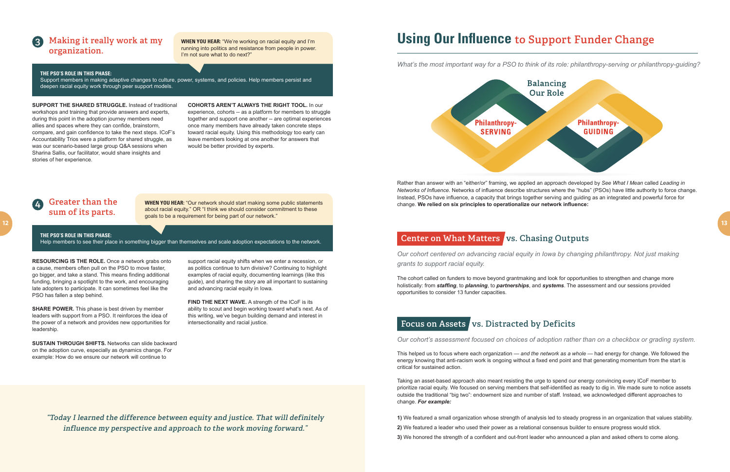**SUPPORT THE SHARED STRUGGLE.** Instead of traditional workshops and training that provide answers and experts, during this point in the adoption journey members need allies and spaces where they can confide, brainstorm, compare, and gain confidence to take the next steps. ICoF's Accountability Trios were a platform for shared struggle, as was our scenario-based large group Q&A sessions when Sharina Sallis, our facilitator, would share insights and stories of her experience.

**COHORTS AREN'T ALWAYS THE RIGHT TOOL.** In our experience, cohorts -- as a platform for members to struggle together and support one another -- are optimal experiences once many members have already taken concrete steps toward racial equity. Using this methodology too early can leave members looking at one another for answers that would be better provided by experts.

**SHARE POWER.** This phase is best driven by member leaders with support from a PSO. It reinforces the idea of the power of a network and provides new opportunities for leadership.

**FIND THE NEXT WAVE.** A strength of the ICoF is its ability to scout and begin working toward what's next. As of this writing, we've begun building demand and interest in intersectionality and racial justice.

**RESOURCING IS THE ROLE.** Once a network grabs onto a cause, members often pull on the PSO to move faster, go bigger, and take a stand. This means finding additional funding, bringing a spotlight to the work, and encouraging late adopters to participate. It can sometimes feel like the PSO has fallen a step behind.

**THE PSO'S ROLE IN THIS PHASE:** Help members to see their place in something bigger than themselves and scale adoption expectations to the network.

**SUSTAIN THROUGH SHIFTS.** Networks can slide backward on the adoption curve, especially as dynamics change. For example: How do we ensure our network will continue to

support racial equity shifts when we enter a recession, or as politics continue to turn divisive? Continuing to highlight examples of racial equity, documenting learnings (like this guide), and sharing the story are all important to sustaining and advancing racial equity in Iowa.

#### **4 Greater than the sum of its parts.**

#### **THE PSO'S ROLE IN THIS PHASE:**

Support members in making adaptive changes to culture, power, systems, and policies. Help members persist and deepen racial equity work through peer support models.

### **3 Making it really work at my organization.**

**WHEN YOU HEAR:** "We're working on racial equity and I'm running into politics and resistance from people in power. I'm not sure what to do next?"

**WHEN YOU HEAR:** "Our network should start making some public statements about racial equity." OR "I think we should consider commitment to these goals to be a requirement for being part of our network."

**"Today I learned the difference between equity and justice. That will definitely influence my perspective and approach to the work moving forward."**

*Our cohort's assessment focused on choices of adoption rather than on a checkbox or grading system*.

This helped us to focus where each organization — *and the network as a whole* — had energy for change. We followed the energy knowing that anti-racism work is ongoing without a fixed end point and that generating momentum from the start is critical for sustained action.

Taking an asset-based approach also meant resisting the urge to spend our energy convincing every ICoF member to prioritize racial equity. We focused on serving members that self-identified as ready to dig in. We made sure to notice assets outside the traditional "big two": endowment size and number of staff. Instead, we acknowledged different approaches to change. *For example:*

**1)** We featured a small organization whose strength of analysis led to steady progress in an organization that values stability.

- **2)** We featured a leader who used their power as a relational consensus builder to ensure progress would stick.
- **3)** We honored the strength of a confident and out-front leader who announced a plan and asked others to come along.

*Our cohort centered on advancing racial equity in Iowa by changing philanthropy. Not just making grants to support racial equity.* 

The cohort called on funders to move beyond grantmaking and look for opportunities to strengthen and change more holistically: from *staffing*, to *planning*, to *partnerships*, and *systems*. The assessment and our sessions provided opportunities to consider 13 funder capacities.

### Focus on Assets vs. Distracted by Deficits

### **Using Our Influence to Support Funder Change**

*What's the most important way for a PSO to think of its role: philanthropy-serving or philanthropy-guiding?* 



Rather than answer with an "either/or" framing, we applied an approach developed by *See What I Mean* called *Leading in Networks of Influence*. Networks of influence describe structures where the "hubs" (PSOs) have little authority to force change. Instead, PSOs have influence, a capacity that brings together serving and guiding as an integrated and powerful force for change. **We relied on six principles to operationalize our network influence:**

### **Center on What Matters vs. Chasing Outputs**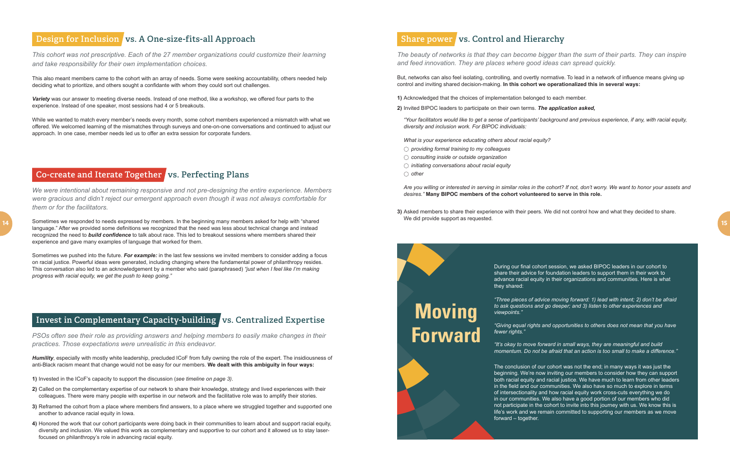*We were intentional about remaining responsive and not pre-designing the entire experience. Members were gracious and didn't reject our emergent approach even though it was not always comfortable for them or for the facilitators.*

Sometimes we responded to needs expressed by members. In the beginning many members asked for help with "shared language." After we provided some definitions we recognized that the need was less about technical change and instead recognized the need to *build confidence* to talk about race. This led to breakout sessions where members shared their experience and gave many examples of language that worked for them.

Sometimes we pushed into the future. *For example:* in the last few sessions we invited members to consider adding a focus on racial justice. Powerful ideas were generated, including changing where the fundamental power of philanthropy resides. This conversation also led to an acknowledgement by a member who said (paraphrased) *"just when I feel like I'm making progress with racial equity, we get the push to keep going."*

#### Invest in Complementary Capacity-building vs. Centralized Expertise

#### **Design for Inclusion vs. A One-size-fits-all Approach**

*PSOs often see their role as providing answers and helping members to easily make changes in their practices. Those expectations were unrealistic in this endeavor.* 

*This cohort was not prescriptive. Each of the 27 member organizations could customize their learning and take responsibility for their own implementation choices.*

*Humility*, especially with mostly white leadership, precluded ICoF from fully owning the role of the expert. The insidiousness of anti-Black racism meant that change would not be easy for our members. **We dealt with this ambiguity in four ways:**

This also meant members came to the cohort with an array of needs. Some were seeking accountability, others needed help deciding what to prioritize, and others sought a confidante with whom they could sort out challenges.

*Variety* was our answer to meeting diverse needs. Instead of one method, like a workshop, we offered four parts to the experience. Instead of one speaker, most sessions had 4 or 5 breakouts.

While we wanted to match every member's needs every month, some cohort members experienced a mismatch with what we offered. We welcomed learning of the mismatches through surveys and one-on-one conversations and continued to adjust our approach. In one case, member needs led us to offer an extra session for corporate funders.

### **Co-create and Iterate Together vs. Perfecting Plans**

- **1)** Invested in the ICoF's capacity to support the discussion (*see timeline on page 3)*.
- **2)** Called on the complementary expertise of our network to share their knowledge, strategy and lived experiences with their colleagues. There were many people with expertise in our network and the facilitative role was to amplify their stories.
- **3)** Reframed the cohort from a place where members find answers, to a place where we struggled together and supported one another to advance racial equity in Iowa.
- **4)** Honored the work that our cohort participants were doing back in their communities to learn about and support racial equity, diversity and inclusion. We valued this work as complementary and supportive to our cohort and it allowed us to stay laserfocused on philanthropy's role in advancing racial equity.

### **Share power** vs. Control and Hierarchy

**14**

During our final cohort session, we asked BIPOC leaders in our cohort to share their advice for foundation leaders to support them in their work to advance racial equity in their organizations and communities. Here is what

they shared:

*"Three pieces of advice moving forward: 1) lead with intent; 2) don't be afraid to ask questions and go deeper; and 3) listen to other experiences and viewpoints."*

*"Giving equal rights and opportunities to others does not mean that you have* 

*fewer rights."*

*"It's okay to move forward in small ways, they are meaningful and build momentum. Do not be afraid that an action is too small to make a difference."*

The conclusion of our cohort was not the end; in many ways it was just the beginning. We're now inviting our members to consider how they can support both racial equity and racial justice. We have much to learn from other leaders in the field and our communities. We also have so much to explore in terms of intersectionality and how racial equity work cross-cuts everything we do in our communities. We also have a good portion of our members who did not participate in the cohort to invite into this journey with us. We know this is life's work and we remain committed to supporting our members as we move forward – together.

*The beauty of networks is that they can become bigger than the sum of their parts. They can inspire and feed innovation. They are places where good ideas can spread quickly.*

But, networks can also feel isolating, controlling, and overtly normative. To lead in a network of influence means giving up control and inviting shared decision-making. **In this cohort we operationalized this in several ways:**

**1)** Acknowledged that the choices of implementation belonged to each member.

**2)** Invited BIPOC leaders to participate on their own terms. *The application asked,*

*"Your facilitators would like to get a sense of participants' background and previous experience, if any, with racial equity, diversity and inclusion work. For BIPOC individuals:* 

*What is your experience educating others about racial equity?* 

 *providing formal training to my colleagues*

 *consulting inside or outside organization*

 *initiating conversations about racial equity other* 

*Are you willing or interested in serving in similar roles in the cohort? If not, don't worry. We want to honor your assets and desires."* **Many BIPOC members of the cohort volunteered to serve in this role.**

**3)** Asked members to share their experience with their peers. We did not control how and what they decided to share. We did provide support as requested.

# **Moving Forward**